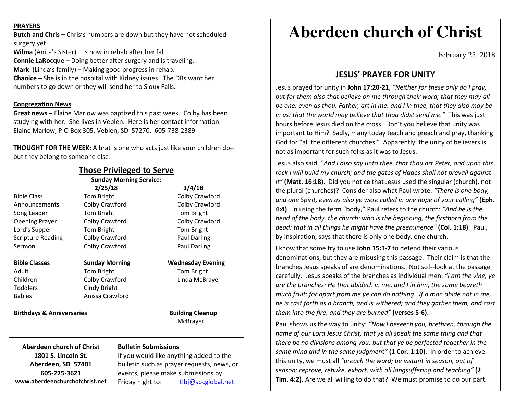#### **PRAYERS**

**Butch and Chris –** Chris's numbers are down but they have not scheduled surgery yet.

**Wilma** (Anita's Sister) – Is now in rehab after her fall. **Connie LaRocque** – Doing better after surgery and is traveling. **Mark** (Linda's family) – Making good progress in rehab.**Chanice** – She is in the hospital with Kidney issues. The DRs want her numbers to go down or they will send her to Sioux Falls.

#### **Congregation News**

**Great news** – Elaine Marlow was baptized this past week. Colby has been studying with her. She lives in Veblen. Here is her contact information: Elaine Marlow, P.O Box 305, Veblen, SD 57270, 605-738-2389

**THOUGHT FOR THE WEEK:** A brat is one who acts just like your children do-but they belong to someone else!

| <b>Those Privileged to Serve</b><br><b>Sunday Morning Service:</b> |                       |                                            |                                     |
|--------------------------------------------------------------------|-----------------------|--------------------------------------------|-------------------------------------|
|                                                                    | 2/25/18               |                                            | 3/4/18                              |
| <b>Bible Class</b>                                                 | Tom Bright            |                                            | Colby Crawford                      |
| Announcements                                                      | Colby Crawford        |                                            | Colby Crawford                      |
| Song Leader                                                        | Tom Bright            |                                            | Tom Bright                          |
| <b>Opening Prayer</b>                                              | Colby Crawford        |                                            | Colby Crawford                      |
| Lord's Supper                                                      | Tom Bright            |                                            | Tom Bright                          |
| <b>Scripture Reading</b>                                           | Colby Crawford        |                                            | <b>Paul Darling</b>                 |
| Sermon                                                             | Colby Crawford        |                                            | Paul Darling                        |
| <b>Bible Classes</b>                                               | <b>Sunday Morning</b> |                                            | <b>Wednesday Evening</b>            |
| Adult                                                              | Tom Bright            |                                            | Tom Bright                          |
| Children                                                           | Colby Crawford        |                                            | Linda McBrayer                      |
| <b>Toddlers</b>                                                    | Cindy Bright          |                                            |                                     |
| <b>Babies</b>                                                      | Anissa Crawford       |                                            |                                     |
| <b>Birthdays &amp; Anniversaries</b>                               |                       |                                            | <b>Building Cleanup</b><br>McBrayer |
|                                                                    |                       |                                            |                                     |
| Aberdeen church of Christ                                          |                       | <b>Bulletin Submissions</b>                |                                     |
| 1801 S. Lincoln St.                                                |                       | If you would like anything added to the    |                                     |
| Aberdeen, SD 57401                                                 |                       | bulletin such as prayer requests, news, or |                                     |
| 605-225-3621                                                       |                       | events, please make submissions by         |                                     |
| www.aberdeenchurchofchrist.net                                     |                       | Friday night to:                           | tlbj@sbcglobal.net                  |

# **Aberdeen church of Christ**

February 25, 2018

## **JESUS' PRAYER FOR UNITY**

Jesus prayed for unity in **John 17:20-21**, *"Neither for these only do I pray, but for them also that believe on me through their word; that they may all be one; even as thou, Father, art in me, and I in thee, that they also may be in us: that the world may believe that thou didst send me."* This was just hours before Jesus died on the cross. Don't you believe that unity was important to Him? Sadly, many today teach and preach and pray, thanking God for "all the different churches." Apparently, the unity of believers is not as important for such folks as it was to Jesus.

Jesus also said, *"And I also say unto thee, that thou art Peter, and upon this rock I will build my church; and the gates of Hades shall not prevail against it"* **(Matt. 16:18)**. Did you notice that Jesus used the singular (church), not the plural (churches)? Consider also what Paul wrote: *"There is one body, and one Spirit, even as also ye were called in one hope of your calling"* **(Eph. 4:4)**. In using the term "body," Paul refers to the church: *"And he is the head of the body, the church: who is the beginning, the firstborn from the dead; that in all things he might have the preeminence"* **(Col. 1:18)**. Paul, by inspiration, says that there is only one body, one church.

I know that some try to use **John 15:1-7** to defend their various denominations, but they are misusing this passage. Their claim is that the branches Jesus speaks of are denominations. Not so!--look at the passage carefully. Jesus speaks of the branches as individual men: *"I am the vine, ye are the branches: He that abideth in me, and I in him, the same beareth much fruit: for apart from me ye can do nothing. If a man abide not in me, he is cast forth as a branch, and is withered; and they gather them, and cast them into the fire, and they are burned"* **(verses 5-6)**.

Paul shows us the way to unity: *"Now I beseech you, brethren, through the name of our Lord Jesus Christ, that ye all speak the same thing and that there be no divisions among you; but that ye be perfected together in the same mind and in the same judgment"* **(1 Cor. 1:10)**. In order to achieve this unity, we must all *"preach the word; be instant in season, out of season; reprove, rebuke, exhort, with all longsuffering and teaching"* **(2 Tim. 4:2)***.* Are we all willing to do that? We must promise to do our part.